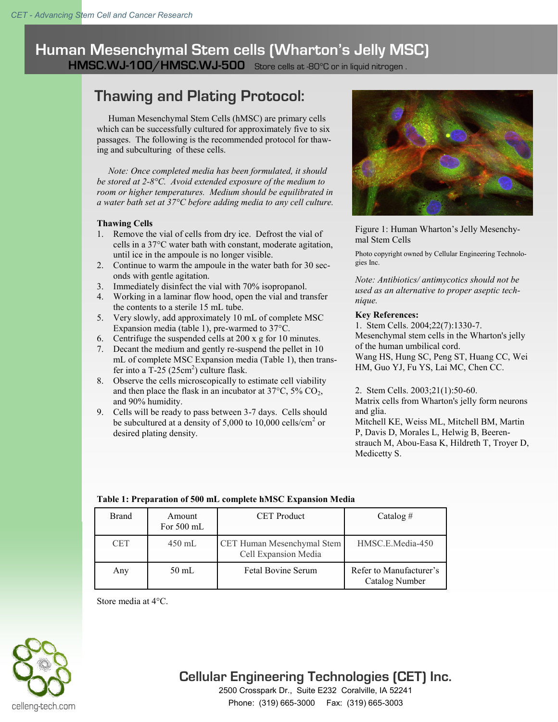### **Human Mesenchymal Stem cells (Wharton's Jelly MSC) HMSC.WJ-100/HMSC.WJ-500** Store cells at -80°C or in liquid nitrogen .

# **Thawing and Plating Protocol:**

 Human Mesenchymal Stem Cells (hMSC) are primary cells which can be successfully cultured for approximately five to six passages. The following is the recommended protocol for thawing and subculturing of these cells.

 *Note: Once completed media has been formulated, it should be stored at 2-8°C. Avoid extended exposure of the medium to room or higher temperatures. Medium should be equilibrated in a water bath set at 37°C before adding media to any cell culture.* 

#### **Thawing Cells**

- 1. Remove the vial of cells from dry ice. Defrost the vial of cells in a 37°C water bath with constant, moderate agitation, until ice in the ampoule is no longer visible.
- 2. Continue to warm the ampoule in the water bath for 30 seconds with gentle agitation.
- 3. Immediately disinfect the vial with 70% isopropanol.
- 4. Working in a laminar flow hood, open the vial and transfer the contents to a sterile 15 mL tube.
- 5. Very slowly, add approximately 10 mL of complete MSC Expansion media (table 1), pre-warmed to 37°C.
- 6. Centrifuge the suspended cells at 200 x g for 10 minutes.
- 7. Decant the medium and gently re-suspend the pellet in 10 mL of complete MSC Expansion media (Table 1), then transfer into a T-25  $(25cm^2)$  culture flask.
- 8. Observe the cells microscopically to estimate cell viability and then place the flask in an incubator at  $37^{\circ}$ C,  $5\%$  CO<sub>2</sub>, and 90% humidity.
- 9. Cells will be ready to pass between 3-7 days. Cells should be subcultured at a density of 5,000 to 10,000 cells/cm<sup>2</sup> or desired plating density.



Figure 1: Human Wharton's Jelly Mesenchymal Stem Cells

Photo copyright owned by Cellular Engineering Technologies Inc.

*Note: Antibiotics/ antimycotics should not be used as an alternative to proper aseptic technique.* 

#### **Key References:**

1. Stem Cells. 2004;22(7):1330-7. Mesenchymal stem cells in the Wharton's jelly of the human umbilical cord.

[Wang HS,](http://www.ncbi.nlm.nih.gov/sites/entrez?Db=pubmed&Cmd=Search&Term=%22Wang%20HS%22%5BAuthor%5D&itool=EntrezSystem2.PEntrez.Pubmed.Pubmed_ResultsPanel.Pubmed_RVAbstractPlus) [Hung SC,](http://www.ncbi.nlm.nih.gov/sites/entrez?Db=pubmed&Cmd=Search&Term=%22Hung%20SC%22%5BAuthor%5D&itool=EntrezSystem2.PEntrez.Pubmed.Pubmed_ResultsPanel.Pubmed_RVAbstractPlus) [Peng ST,](http://www.ncbi.nlm.nih.gov/sites/entrez?Db=pubmed&Cmd=Search&Term=%22Peng%20ST%22%5BAuthor%5D&itool=EntrezSystem2.PEntrez.Pubmed.Pubmed_ResultsPanel.Pubmed_RVAbstractPlus) [Huang CC,](http://www.ncbi.nlm.nih.gov/sites/entrez?Db=pubmed&Cmd=Search&Term=%22Huang%20CC%22%5BAuthor%5D&itool=EntrezSystem2.PEntrez.Pubmed.Pubmed_ResultsPanel.Pubmed_RVAbstractPlus) [Wei](http://www.ncbi.nlm.nih.gov/sites/entrez?Db=pubmed&Cmd=Search&Term=%22Wei%20HM%22%5BAuthor%5D&itool=EntrezSystem2.PEntrez.Pubmed.Pubmed_ResultsPanel.Pubmed_RVAbstractPlus)  [HM,](http://www.ncbi.nlm.nih.gov/sites/entrez?Db=pubmed&Cmd=Search&Term=%22Wei%20HM%22%5BAuthor%5D&itool=EntrezSystem2.PEntrez.Pubmed.Pubmed_ResultsPanel.Pubmed_RVAbstractPlus) [Guo YJ,](http://www.ncbi.nlm.nih.gov/sites/entrez?Db=pubmed&Cmd=Search&Term=%22Guo%20YJ%22%5BAuthor%5D&itool=EntrezSystem2.PEntrez.Pubmed.Pubmed_ResultsPanel.Pubmed_RVAbstractPlus) [Fu YS,](http://www.ncbi.nlm.nih.gov/sites/entrez?Db=pubmed&Cmd=Search&Term=%22Fu%20YS%22%5BAuthor%5D&itool=EntrezSystem2.PEntrez.Pubmed.Pubmed_ResultsPanel.Pubmed_RVAbstractPlus) [Lai MC,](http://www.ncbi.nlm.nih.gov/sites/entrez?Db=pubmed&Cmd=Search&Term=%22Lai%20MC%22%5BAuthor%5D&itool=EntrezSystem2.PEntrez.Pubmed.Pubmed_ResultsPanel.Pubmed_RVAbstractPlus) [Chen CC.](http://www.ncbi.nlm.nih.gov/sites/entrez?Db=pubmed&Cmd=Search&Term=%22Chen%20CC%22%5BAuthor%5D&itool=EntrezSystem2.PEntrez.Pubmed.Pubmed_ResultsPanel.Pubmed_RVAbstractPlus)

2. Stem Cells. 2003;21(1):50-60. Matrix cells from Wharton's jelly form neurons and glia. [Mitchell KE,](http://www.ncbi.nlm.nih.gov/sites/entrez?Db=pubmed&Cmd=Search&Term=%22Mitchell%20KE%22%5BAuthor%5D&itool=EntrezSystem2.PEntrez.Pubmed.Pubmed_ResultsPanel.Pubmed_RVAbstractPlus) [Weiss ML,](http://www.ncbi.nlm.nih.gov/sites/entrez?Db=pubmed&Cmd=Search&Term=%22Weiss%20ML%22%5BAuthor%5D&itool=EntrezSystem2.PEntrez.Pubmed.Pubmed_ResultsPanel.Pubmed_RVAbstractPlus) [Mitchell BM,](http://www.ncbi.nlm.nih.gov/sites/entrez?Db=pubmed&Cmd=Search&Term=%22Mitchell%20BM%22%5BAuthor%5D&itool=EntrezSystem2.PEntrez.Pubmed.Pubmed_ResultsPanel.Pubmed_RVAbstractPlus) [Martin](http://www.ncbi.nlm.nih.gov/sites/entrez?Db=pubmed&Cmd=Search&Term=%22Martin%20P%22%5BAuthor%5D&itool=EntrezSystem2.PEntrez.Pubmed.Pubmed_ResultsPanel.Pubmed_RVAbstractPlus)  [P,](http://www.ncbi.nlm.nih.gov/sites/entrez?Db=pubmed&Cmd=Search&Term=%22Martin%20P%22%5BAuthor%5D&itool=EntrezSystem2.PEntrez.Pubmed.Pubmed_ResultsPanel.Pubmed_RVAbstractPlus) [Davis D,](http://www.ncbi.nlm.nih.gov/sites/entrez?Db=pubmed&Cmd=Search&Term=%22Davis%20D%22%5BAuthor%5D&itool=EntrezSystem2.PEntrez.Pubmed.Pubmed_ResultsPanel.Pubmed_RVAbstractPlus) [Morales L,](http://www.ncbi.nlm.nih.gov/sites/entrez?Db=pubmed&Cmd=Search&Term=%22Morales%20L%22%5BAuthor%5D&itool=EntrezSystem2.PEntrez.Pubmed.Pubmed_ResultsPanel.Pubmed_RVAbstractPlus) [Helwig B,](http://www.ncbi.nlm.nih.gov/sites/entrez?Db=pubmed&Cmd=Search&Term=%22Helwig%20B%22%5BAuthor%5D&itool=EntrezSystem2.PEntrez.Pubmed.Pubmed_ResultsPanel.Pubmed_RVAbstractPlus) [Beeren](http://www.ncbi.nlm.nih.gov/sites/entrez?Db=pubmed&Cmd=Search&Term=%22Beerenstrauch%20M%22%5BAuthor%5D&itool=EntrezSystem2.PEntrez.Pubmed.Pubmed_ResultsPanel.Pubmed_RVAbstractPlus)[strauch M,](http://www.ncbi.nlm.nih.gov/sites/entrez?Db=pubmed&Cmd=Search&Term=%22Beerenstrauch%20M%22%5BAuthor%5D&itool=EntrezSystem2.PEntrez.Pubmed.Pubmed_ResultsPanel.Pubmed_RVAbstractPlus) [Abou-Easa K](http://www.ncbi.nlm.nih.gov/sites/entrez?Db=pubmed&Cmd=Search&Term=%22Abou-Easa%20K%22%5BAuthor%5D&itool=EntrezSystem2.PEntrez.Pubmed.Pubmed_ResultsPanel.Pubmed_RVAbstractPlus), [Hildreth T,](http://www.ncbi.nlm.nih.gov/sites/entrez?Db=pubmed&Cmd=Search&Term=%22Hildreth%20T%22%5BAuthor%5D&itool=EntrezSystem2.PEntrez.Pubmed.Pubmed_ResultsPanel.Pubmed_RVAbstractPlus) [Troyer D,](http://www.ncbi.nlm.nih.gov/sites/entrez?Db=pubmed&Cmd=Search&Term=%22Troyer%20D%22%5BAuthor%5D&itool=EntrezSystem2.PEntrez.Pubmed.Pubmed_ResultsPanel.Pubmed_RVAbstractPlus)  [Medicetty S.](http://www.ncbi.nlm.nih.gov/sites/entrez?Db=pubmed&Cmd=Search&Term=%22Medicetty%20S%22%5BAuthor%5D&itool=EntrezSystem2.PEntrez.Pubmed.Pubmed_ResultsPanel.Pubmed_RVAbstractPlus)

| Table 1: Preparation of 500 mL complete hMSC Expansion Media |  |  |
|--------------------------------------------------------------|--|--|
|                                                              |  |  |

| <b>Brand</b> | Amount<br>For 500 mL | <b>CET</b> Product                                 | Catalog $#$                               |
|--------------|----------------------|----------------------------------------------------|-------------------------------------------|
| <b>CET</b>   | $450$ mL             | CET Human Mesenchymal Stem<br>Cell Expansion Media | HMSC.E.Media-450                          |
| Any          | $50 \text{ mL}$      | <b>Fetal Bovine Serum</b>                          | Refer to Manufacturer's<br>Catalog Number |

Store media at 4°C.



## **Cellular Engineering Technologies (CET) Inc.**

2500 Crosspark Dr., Suite E232 Coralville, IA 52241 Phone: (319) 665-3000 Fax: (319) 665-3003